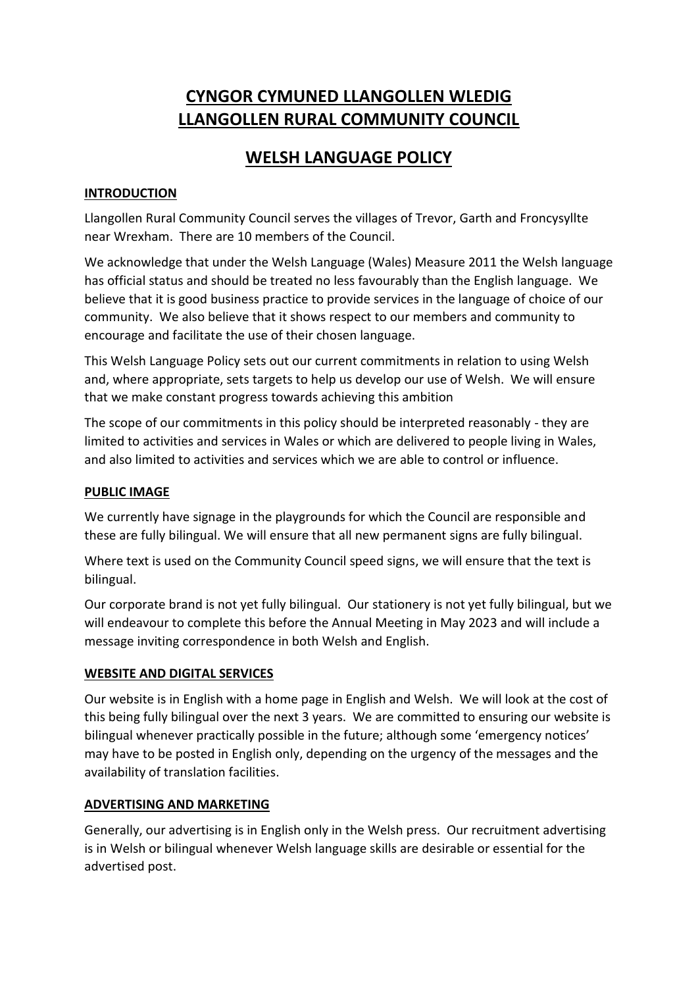# **CYNGOR CYMUNED LLANGOLLEN WLEDIG LLANGOLLEN RURAL COMMUNITY COUNCIL**

## **WELSH LANGUAGE POLICY**

## **INTRODUCTION**

Llangollen Rural Community Council serves the villages of Trevor, Garth and Froncysyllte near Wrexham. There are 10 members of the Council.

We acknowledge that under the Welsh Language (Wales) Measure 2011 the Welsh language has official status and should be treated no less favourably than the English language. We believe that it is good business practice to provide services in the language of choice of our community. We also believe that it shows respect to our members and community to encourage and facilitate the use of their chosen language.

This Welsh Language Policy sets out our current commitments in relation to using Welsh and, where appropriate, sets targets to help us develop our use of Welsh. We will ensure that we make constant progress towards achieving this ambition

The scope of our commitments in this policy should be interpreted reasonably - they are limited to activities and services in Wales or which are delivered to people living in Wales, and also limited to activities and services which we are able to control or influence.

## **PUBLIC IMAGE**

We currently have signage in the playgrounds for which the Council are responsible and these are fully bilingual. We will ensure that all new permanent signs are fully bilingual.

Where text is used on the Community Council speed signs, we will ensure that the text is bilingual.

Our corporate brand is not yet fully bilingual. Our stationery is not yet fully bilingual, but we will endeavour to complete this before the Annual Meeting in May 2023 and will include a message inviting correspondence in both Welsh and English.

## **WEBSITE AND DIGITAL SERVICES**

Our website is in English with a home page in English and Welsh. We will look at the cost of this being fully bilingual over the next 3 years. We are committed to ensuring our website is bilingual whenever practically possible in the future; although some 'emergency notices' may have to be posted in English only, depending on the urgency of the messages and the availability of translation facilities.

## **ADVERTISING AND MARKETING**

Generally, our advertising is in English only in the Welsh press. Our recruitment advertising is in Welsh or bilingual whenever Welsh language skills are desirable or essential for the advertised post.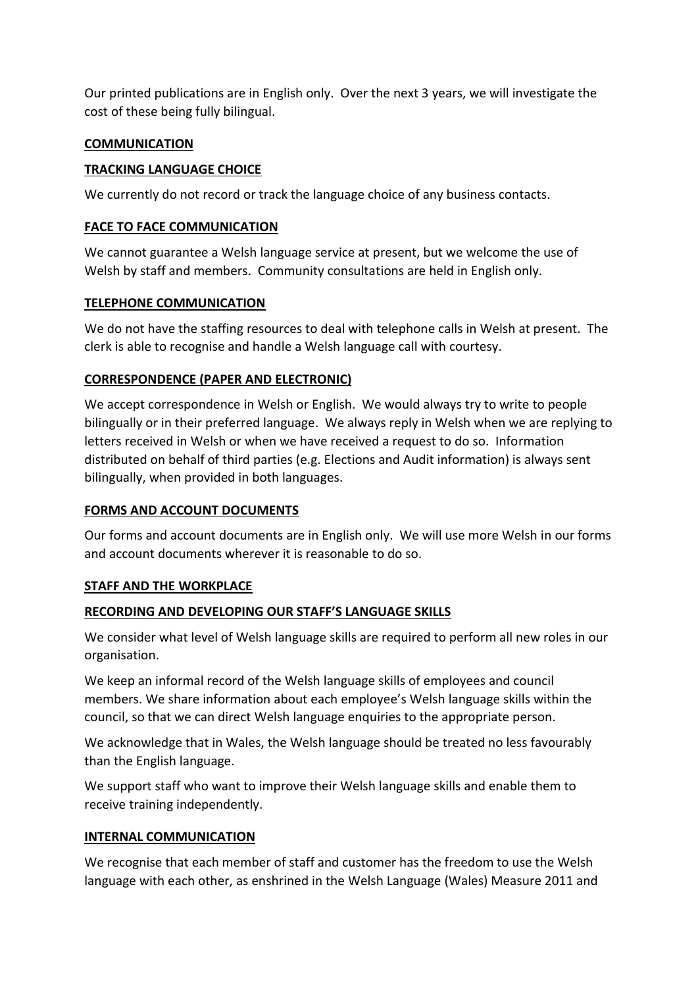Our printed publications are in English only. Over the next 3 years, we will investigate the cost of these being fully bilingual.

### **COMMUNICATION**

### **TRACKING LANGUAGE CHOICE**

We currently do not record or track the language choice of any business contacts.

### **FACE TO FACE COMMUNICATION**

We cannot guarantee a Welsh language service at present, but we welcome the use of Welsh by staff and members. Community consultations are held in English only.

### **TELEPHONE COMMUNICATION**

We do not have the staffing resources to deal with telephone calls in Welsh at present. The clerk is able to recognise and handle a Welsh language call with courtesy.

## **CORRESPONDENCE (PAPER AND ELECTRONIC)**

We accept correspondence in Welsh or English. We would always try to write to people bilingually or in their preferred language. We always reply in Welsh when we are replying to letters received in Welsh or when we have received a request to do so. Information distributed on behalf of third parties (e.g. Elections and Audit information) is always sent bilingually, when provided in both languages.

## **FORMS AND ACCOUNT DOCUMENTS**

Our forms and account documents are in English only. We will use more Welsh in our forms and account documents wherever it is reasonable to do so.

#### **STAFF AND THE WORKPLACE**

## **RECORDING AND DEVELOPING OUR STAFF'S LANGUAGE SKILLS**

We consider what level of Welsh language skills are required to perform all new roles in our organisation.

We keep an informal record of the Welsh language skills of employees and council members. We share information about each employee's Welsh language skills within the council, so that we can direct Welsh language enquiries to the appropriate person.

We acknowledge that in Wales, the Welsh language should be treated no less favourably than the English language.

We support staff who want to improve their Welsh language skills and enable them to receive training independently.

#### **INTERNAL COMMUNICATION**

We recognise that each member of staff and customer has the freedom to use the Welsh language with each other, as enshrined in the Welsh Language (Wales) Measure 2011 and